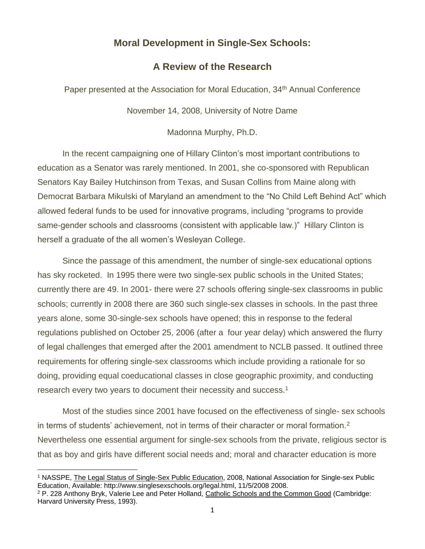## **Moral Development in Single-Sex Schools:**

## **A Review of the Research**

Paper presented at the Association for Moral Education, 34<sup>th</sup> Annual Conference

November 14, 2008, University of Notre Dame

Madonna Murphy, Ph.D.

In the recent campaigning one of Hillary Clinton's most important contributions to education as a Senator was rarely mentioned. In 2001, she co-sponsored with Republican Senators Kay Bailey Hutchinson from Texas, and Susan Collins from Maine along with Democrat Barbara Mikulski of Maryland an amendment to the "No Child Left Behind Act" which allowed federal funds to be used for innovative programs, including "programs to provide same-gender schools and classrooms (consistent with applicable law.)" Hillary Clinton is herself a graduate of the all women's Wesleyan College.

Since the passage of this amendment, the number of single-sex educational options has sky rocketed. In 1995 there were two single-sex public schools in the United States; currently there are 49. In 2001- there were 27 schools offering single-sex classrooms in public schools; currently in 2008 there are 360 such single-sex classes in schools. In the past three years alone, some 30-single-sex schools have opened; this in response to the federal regulations published on October 25, 2006 (after a four year delay) which answered the flurry of legal challenges that emerged after the 2001 amendment to NCLB passed. It outlined three requirements for offering single-sex classrooms which include providing a rationale for so doing, providing equal coeducational classes in close geographic proximity, and conducting research every two years to document their necessity and success.<sup>1</sup>

Most of the studies since 2001 have focused on the effectiveness of single- sex schools in terms of students' achievement, not in terms of their character or moral formation.<sup>2</sup> Nevertheless one essential argument for single-sex schools from the private, religious sector is that as boy and girls have different social needs and; moral and character education is more

 $\overline{a}$ <sup>1</sup> NASSPE, The Legal Status of Single-Sex Public Education, 2008, National Association for Single-sex Public Education, Available: http://www.singlesexschools.org/legal.html, 11/5/2008 2008.

<sup>2</sup> P. 228 Anthony Bryk, Valerie Lee and Peter Holland, Catholic Schools and the Common Good (Cambridge: Harvard University Press, 1993).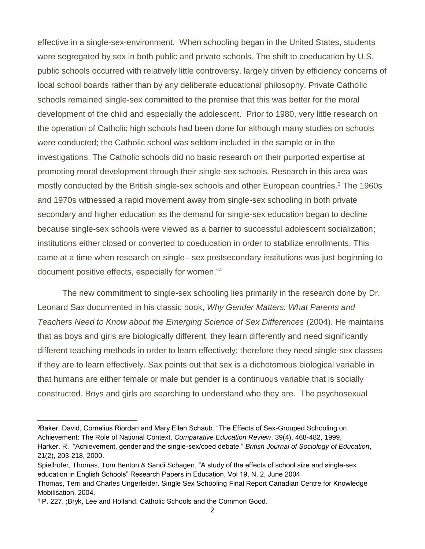effective in a single-sex-environment. When schooling began in the United States, students were segregated by sex in both public and private schools. The shift to coeducation by U.S. public schools occurred with relatively little controversy, largely driven by efficiency concerns of local school boards rather than by any deliberate educational philosophy. Private Catholic schools remained single-sex committed to the premise that this was better for the moral development of the child and especially the adolescent. Prior to 1980, very little research on the operation of Catholic high schools had been done for although many studies on schools were conducted; the Catholic school was seldom included in the sample or in the investigations. The Catholic schools did no basic research on their purported expertise at promoting moral development through their single-sex schools. Research in this area was mostly conducted by the British single-sex schools and other European countries.<sup>3</sup> The 1960s and 1970s witnessed a rapid movement away from single-sex schooling in both private secondary and higher education as the demand for single-sex education began to decline because single-sex schools were viewed as a barrier to successful adolescent socialization; institutions either closed or converted to coeducation in order to stabilize enrollments. This came at a time when research on single– sex postsecondary institutions was just beginning to document positive effects, especially for women."<sup>4</sup>

The new commitment to single-sex schooling lies primarily in the research done by Dr. Leonard Sax documented in his classic book, *Why Gender Matters: What Parents and Teachers Need to Know about the Emerging Science of Sex Differences* (2004). He maintains that as boys and girls are biologically different, they learn differently and need significantly different teaching methods in order to learn effectively; therefore they need single-sex classes if they are to learn effectively. Sax points out that sex is a dichotomous biological variable in that humans are either female or male but gender is a continuous variable that is socially constructed. Boys and girls are searching to understand who they are. The psychosexual

 $\overline{\phantom{a}}$ 

<sup>3</sup>Baker, David, Cornelius Riordan and Mary Ellen Schaub. "The Effects of Sex-Grouped Schooling on Achievement: The Role of National Context. *Comparative Education Review*, 39(4), 468-482, 1999, Harker, R. "Achievement, gender and the single-sex/coed debate." *British Journal of Sociology of Education*, 21(2), 203-218, 2000.

Spielhofer, Thomas, Tom Benton & Sandi Schagen, "A study of the effects of school size and single-sex education in English Schools" Research Papers in Education, Vol 19, N. 2, June 2004

Thomas, Terri and Charles Ungerleider. Single Sex Schooling Final Report Canadian Centre for Knowledge Mobilisation, 2004.

<sup>4</sup> P. 227, ;Bryk, Lee and Holland, Catholic Schools and the Common Good.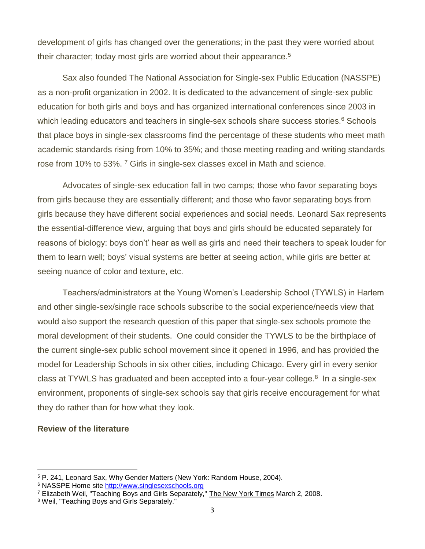development of girls has changed over the generations; in the past they were worried about their character; today most girls are worried about their appearance.<sup>5</sup>

Sax also founded The National Association for Single-sex Public Education (NASSPE) as a non-profit organization in 2002. It is dedicated to the advancement of single-sex public education for both girls and boys and has organized international conferences since 2003 in which leading educators and teachers in single-sex schools share success stories.<sup>6</sup> Schools that place boys in single-sex classrooms find the percentage of these students who meet math academic standards rising from 10% to 35%; and those meeting reading and writing standards rose from 10% to 53%. <sup>7</sup> Girls in single-sex classes excel in Math and science.

Advocates of single-sex education fall in two camps; those who favor separating boys from girls because they are essentially different; and those who favor separating boys from girls because they have different social experiences and social needs. Leonard Sax represents the essential-difference view, arguing that boys and girls should be educated separately for reasons of biology: boys don't' hear as well as girls and need their teachers to speak louder for them to learn well; boys' visual systems are better at seeing action, while girls are better at seeing nuance of color and texture, etc.

Teachers/administrators at the Young Women's Leadership School (TYWLS) in Harlem and other single-sex/single race schools subscribe to the social experience/needs view that would also support the research question of this paper that single-sex schools promote the moral development of their students. One could consider the TYWLS to be the birthplace of the current single-sex public school movement since it opened in 1996, and has provided the model for Leadership Schools in six other cities, including Chicago. Every girl in every senior class at TYWLS has graduated and been accepted into a four-year college.<sup>8</sup> In a single-sex environment, proponents of single-sex schools say that girls receive encouragement for what they do rather than for how what they look.

## **Review of the literature**

<sup>5</sup> P. 241, Leonard Sax, Why Gender Matters (New York: Random House, 2004).

<sup>6</sup> NASSPE Home site [http://www.singlesexschools.org](http://www.singlesexschools.org/)

<sup>7</sup> Elizabeth Weil, "Teaching Boys and Girls Separately," The New York Times March 2, 2008.

<sup>8</sup> Weil, "Teaching Boys and Girls Separately."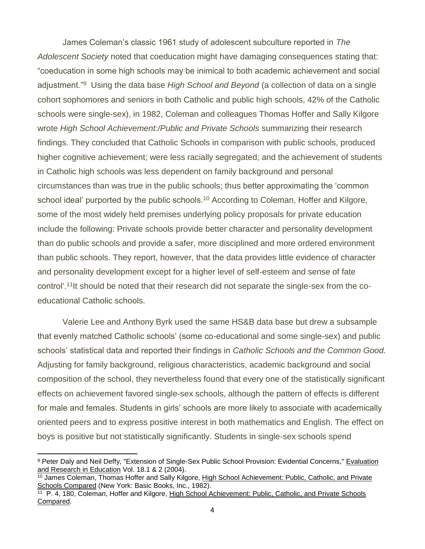James Coleman's classic 1961 study of adolescent subculture reported in *The Adolescent Society* noted that coeducation might have damaging consequences stating that: "coeducation in some high schools may be inimical to both academic achievement and social adjustment."<sup>9</sup> Using the data base *High School and Beyond* (a collection of data on a single cohort sophomores and seniors in both Catholic and public high schools, 42% of the Catholic schools were single-sex), in 1982, Coleman and colleagues Thomas Hoffer and Sally Kilgore wrote *High School Achievement:/Public and Private Schools* summarizing their research findings. They concluded that Catholic Schools in comparison with public schools, produced higher cognitive achievement; were less racially segregated; and the achievement of students in Catholic high schools was less dependent on family background and personal circumstances than was true in the public schools; thus better approximating the 'common school ideal' purported by the public schools.<sup>10</sup> According to Coleman, Hoffer and Kilgore, some of the most widely held premises underlying policy proposals for private education include the following: Private schools provide better character and personality development than do public schools and provide a safer, more disciplined and more ordered environment than public schools. They report, however, that the data provides little evidence of character and personality development except for a higher level of self-esteem and sense of fate control'.11It should be noted that their research did not separate the single-sex from the coeducational Catholic schools.

Valerie Lee and Anthony Byrk used the same HS&B data base but drew a subsample that evenly matched Catholic schools' (some co-educational and some single-sex) and public schools' statistical data and reported their findings in *Catholic Schools and the Common Good.*  Adjusting for family background, religious characteristics, academic background and social composition of the school, they nevertheless found that every one of the statistically significant effects on achievement favored single-sex schools, although the pattern of effects is different for male and females. Students in girls' schools are more likely to associate with academically oriented peers and to express positive interest in both mathematics and English. The effect on boys is positive but not statistically significantly. Students in single-sex schools spend

 $\overline{\phantom{a}}$ 

<sup>9</sup> Peter Daly and Neil Deffy, "Extension of Single-Sex Public School Provision: Evidential Concerns," Evaluation and Research in Education Vol. 18.1 & 2 (2004).

<sup>&</sup>lt;sup>10</sup> James Coleman, Thomas Hoffer and Sally Kilgore, High School Achievement: Public, Catholic, and Private Schools Compared (New York: Basic Books, Inc., 1982).

<sup>&</sup>lt;sup>11</sup> P. 4, 180, Coleman, Hoffer and Kilgore, High School Achievement: Public, Catholic, and Private Schools Compared.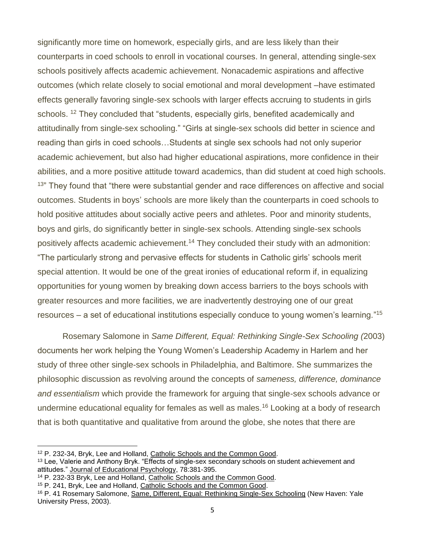significantly more time on homework, especially girls, and are less likely than their counterparts in coed schools to enroll in vocational courses. In general, attending single-sex schools positively affects academic achievement. Nonacademic aspirations and affective outcomes (which relate closely to social emotional and moral development –have estimated effects generally favoring single-sex schools with larger effects accruing to students in girls schools. <sup>12</sup> They concluded that "students, especially girls, benefited academically and attitudinally from single-sex schooling." "Girls at single-sex schools did better in science and reading than girls in coed schools…Students at single sex schools had not only superior academic achievement, but also had higher educational aspirations, more confidence in their abilities, and a more positive attitude toward academics, than did student at coed high schools. <sup>13</sup>" They found that "there were substantial gender and race differences on affective and social outcomes. Students in boys' schools are more likely than the counterparts in coed schools to hold positive attitudes about socially active peers and athletes. Poor and minority students, boys and girls, do significantly better in single-sex schools. Attending single-sex schools positively affects academic achievement.<sup>14</sup> They concluded their study with an admonition: "The particularly strong and pervasive effects for students in Catholic girls' schools merit special attention. It would be one of the great ironies of educational reform if, in equalizing opportunities for young women by breaking down access barriers to the boys schools with greater resources and more facilities, we are inadvertently destroying one of our great resources – a set of educational institutions especially conduce to young women's learning."<sup>15</sup>

Rosemary Salomone in *Same Different, Equal: Rethinking Single-Sex Schooling (*2003) documents her work helping the Young Women's Leadership Academy in Harlem and her study of three other single-sex schools in Philadelphia, and Baltimore. She summarizes the philosophic discussion as revolving around the concepts of *sameness, difference, dominance and essentialism* which provide the framework for arguing that single-sex schools advance or undermine educational equality for females as well as males.<sup>16</sup> Looking at a body of research that is both quantitative and qualitative from around the globe, she notes that there are

<sup>12</sup> P. 232-34, Bryk, Lee and Holland, Catholic Schools and the Common Good.

<sup>&</sup>lt;sup>13</sup> Lee, Valerie and Anthony Bryk. "Effects of single-sex secondary schools on student achievement and attitudes." Journal of Educational Psychology, 78:381-395.

<sup>14</sup> P. 232-33 Bryk, Lee and Holland, Catholic Schools and the Common Good.

<sup>15</sup> P. 241, Bryk, Lee and Holland, Catholic Schools and the Common Good.

<sup>16</sup> P. 41 Rosemary Salomone, Same, Different, Equal: Rethinking Single-Sex Schooling (New Haven: Yale University Press, 2003).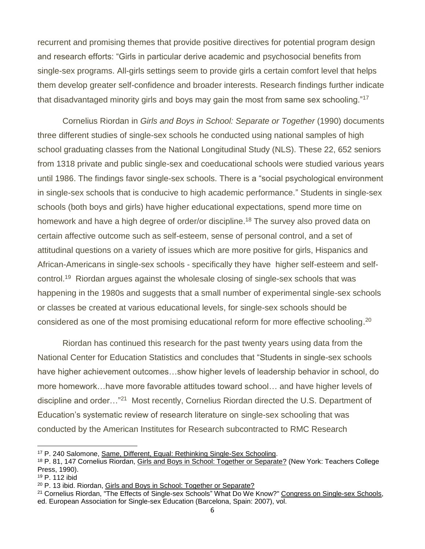recurrent and promising themes that provide positive directives for potential program design and research efforts: "Girls in particular derive academic and psychosocial benefits from single-sex programs. All-girls settings seem to provide girls a certain comfort level that helps them develop greater self-confidence and broader interests. Research findings further indicate that disadvantaged minority girls and boys may gain the most from same sex schooling."<sup>17</sup>

Cornelius Riordan in *Girls and Boys in School: Separate or Together* (1990) documents three different studies of single-sex schools he conducted using national samples of high school graduating classes from the National Longitudinal Study (NLS). These 22, 652 seniors from 1318 private and public single-sex and coeducational schools were studied various years until 1986. The findings favor single-sex schools. There is a "social psychological environment in single-sex schools that is conducive to high academic performance." Students in single-sex schools (both boys and girls) have higher educational expectations, spend more time on homework and have a high degree of order/or discipline.<sup>18</sup> The survey also proved data on certain affective outcome such as self-esteem, sense of personal control, and a set of attitudinal questions on a variety of issues which are more positive for girls, Hispanics and African-Americans in single-sex schools - specifically they have higher self-esteem and selfcontrol.<sup>19</sup> Riordan argues against the wholesale closing of single-sex schools that was happening in the 1980s and suggests that a small number of experimental single-sex schools or classes be created at various educational levels, for single-sex schools should be considered as one of the most promising educational reform for more effective schooling.<sup>20</sup>

Riordan has continued this research for the past twenty years using data from the National Center for Education Statistics and concludes that "Students in single-sex schools have higher achievement outcomes…show higher levels of leadership behavior in school, do more homework…have more favorable attitudes toward school… and have higher levels of discipline and order..."<sup>21</sup> Most recently, Cornelius Riordan directed the U.S. Department of Education's systematic review of research literature on single-sex schooling that was conducted by the American Institutes for Research subcontracted to RMC Research

<sup>17</sup> P. 240 Salomone, Same, Different, Equal: Rethinking Single-Sex Schooling.

<sup>18</sup> P. 81, 147 Cornelius Riordan, Girls and Boys in School: Together or Separate? (New York: Teachers College Press, 1990).

<sup>19</sup> P. 112 ibid

<sup>20</sup> P. 13 ibid. Riordan, Girls and Boys in School: Together or Separate?

<sup>&</sup>lt;sup>21</sup> Cornelius Riordan, "The Effects of Single-sex Schools" What Do We Know?" Congress on Single-sex Schools, ed. European Association for Single-sex Education (Barcelona, Spain: 2007), vol.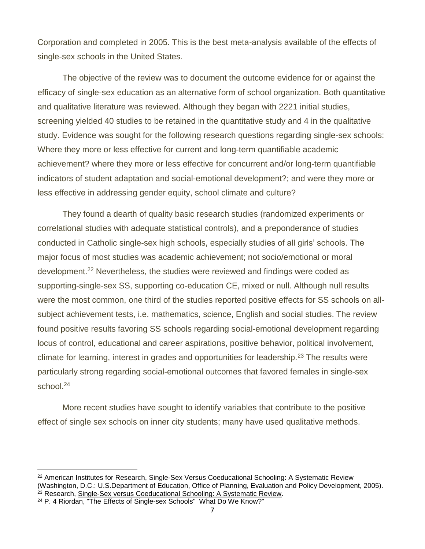Corporation and completed in 2005. This is the best meta-analysis available of the effects of single-sex schools in the United States.

The objective of the review was to document the outcome evidence for or against the efficacy of single-sex education as an alternative form of school organization. Both quantitative and qualitative literature was reviewed. Although they began with 2221 initial studies, screening yielded 40 studies to be retained in the quantitative study and 4 in the qualitative study. Evidence was sought for the following research questions regarding single-sex schools: Where they more or less effective for current and long-term quantifiable academic achievement? where they more or less effective for concurrent and/or long-term quantifiable indicators of student adaptation and social-emotional development?; and were they more or less effective in addressing gender equity, school climate and culture?

They found a dearth of quality basic research studies (randomized experiments or correlational studies with adequate statistical controls), and a preponderance of studies conducted in Catholic single-sex high schools, especially studies of all girls' schools. The major focus of most studies was academic achievement; not socio/emotional or moral development.<sup>22</sup> Nevertheless, the studies were reviewed and findings were coded as supporting-single-sex SS, supporting co-education CE, mixed or null. Although null results were the most common, one third of the studies reported positive effects for SS schools on allsubject achievement tests, i.e. mathematics, science, English and social studies. The review found positive results favoring SS schools regarding social-emotional development regarding locus of control, educational and career aspirations, positive behavior, political involvement, climate for learning, interest in grades and opportunities for leadership.<sup>23</sup> The results were particularly strong regarding social-emotional outcomes that favored females in single-sex school.<sup>24</sup>

More recent studies have sought to identify variables that contribute to the positive effect of single sex schools on inner city students; many have used qualitative methods.

<sup>&</sup>lt;sup>22</sup> American Institutes for Research, Single-Sex Versus Coeducational Schooling: A Systematic Review (Washington, D.C.: U.S.Department of Education, Office of Planning, Evaluation and Policy Development, 2005). <sup>23</sup> Research, Single-Sex versus Coeducational Schooling: A Systematic Review.

<sup>&</sup>lt;sup>24</sup> P. 4 Riordan, "The Effects of Single-sex Schools" What Do We Know?"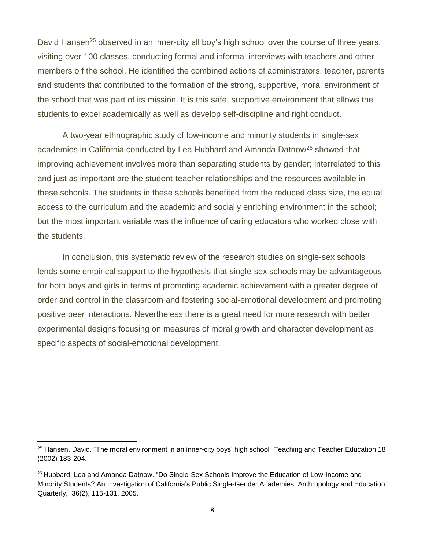David Hansen<sup>25</sup> observed in an inner-city all boy's high school over the course of three years, visiting over 100 classes, conducting formal and informal interviews with teachers and other members o f the school. He identified the combined actions of administrators, teacher, parents and students that contributed to the formation of the strong, supportive, moral environment of the school that was part of its mission. It is this safe, supportive environment that allows the students to excel academically as well as develop self-discipline and right conduct.

A two-year ethnographic study of low-income and minority students in single-sex academies in California conducted by Lea Hubbard and Amanda Datnow<sup>26</sup> showed that improving achievement involves more than separating students by gender; interrelated to this and just as important are the student-teacher relationships and the resources available in these schools. The students in these schools benefited from the reduced class size, the equal access to the curriculum and the academic and socially enriching environment in the school; but the most important variable was the influence of caring educators who worked close with the students.

In conclusion, this systematic review of the research studies on single-sex schools lends some empirical support to the hypothesis that single-sex schools may be advantageous for both boys and girls in terms of promoting academic achievement with a greater degree of order and control in the classroom and fostering social-emotional development and promoting positive peer interactions. Nevertheless there is a great need for more research with better experimental designs focusing on measures of moral growth and character development as specific aspects of social-emotional development.

 $\overline{\phantom{a}}$ 

<sup>&</sup>lt;sup>25</sup> Hansen, David. "The moral environment in an inner-city boys' high school" Teaching and Teacher Education 18 (2002) 183-204.

<sup>&</sup>lt;sup>26</sup> Hubbard, Lea and Amanda Datnow. "Do Single-Sex Schools Improve the Education of Low-Income and Minority Students? An Investigation of California's Public Single-Gender Academies. Anthropology and Education Quarterly, 36(2), 115-131, 2005.